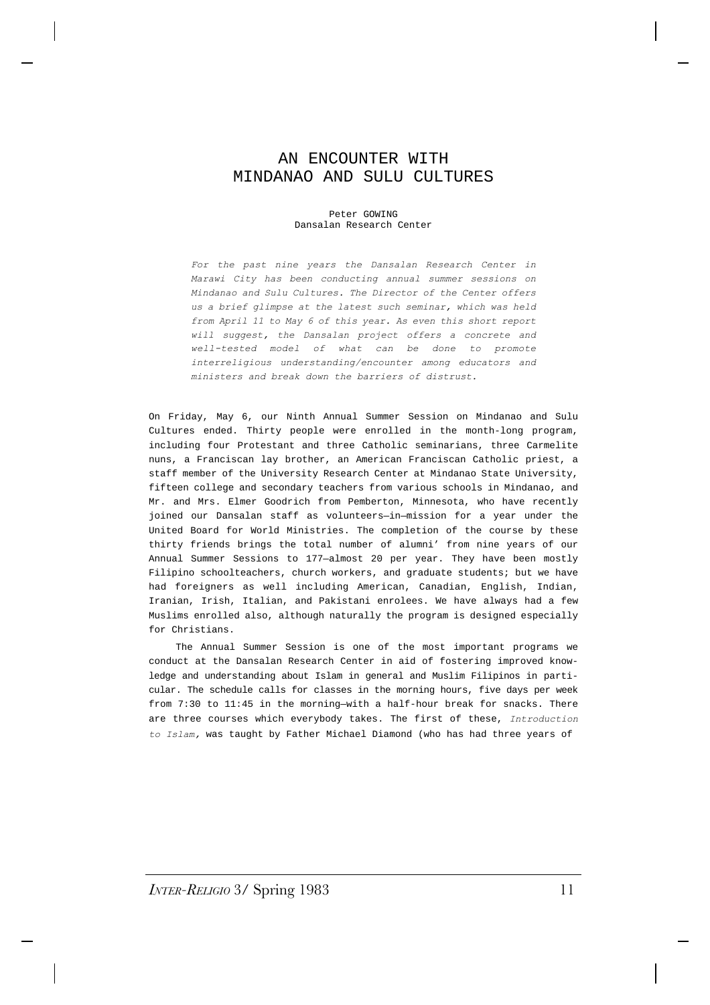## AN ENCOUNTER WITH MINDANAO AND SULU CULTURES

## Peter GOWING Dansalan Research Center

*For the past nine years the Dansalan Research Center in Marawi City has been conducting annual summer sessions on Mindanao and Sulu Cultures. The Director of the Center offers us a brief glimpse at the latest such seminar, which was held from April 11 to May 6 of this year. As even this short report will suggest, the Dansalan project offers a concrete and well-tested model of what can be done to promote interreligious understanding/encounter among educators and ministers and break down the barriers of distrust.*

On Friday, May 6, our Ninth Annual Summer Session on Mindanao and Sulu Cultures ended. Thirty people were enrolled in the month-long program, including four Protestant and three Catholic seminarians, three Carmelite nuns, a Franciscan lay brother, an American Franciscan Catholic priest, a staff member of the University Research Center at Mindanao State University, fifteen college and secondary teachers from various schools in Mindanao, and Mr. and Mrs. Elmer Goodrich from Pemberton, Minnesota, who have recently joined our Dansalan staff as volunteers—in—mission for a year under the United Board for World Ministries. The completion of the course by these thirty friends brings the total number of alumni' from nine years of our Annual Summer Sessions to 177—almost 20 per year. They have been mostly Filipino schoolteachers, church workers, and graduate students; but we have had foreigners as well including American, Canadian, English, Indian, Iranian, Irish, Italian, and Pakistani enrolees. We have always had a few Muslims enrolled also, although naturally the program is designed especially for Christians.

The Annual Summer Session is one of the most important programs we conduct at the Dansalan Research Center in aid of fostering improved knowledge and understanding about Islam in general and Muslim Filipinos in particular. The schedule calls for classes in the morning hours, five days per week from 7:30 to 11:45 in the morning—with a half-hour break for snacks. There are three courses which everybody takes. The first of these, *Introduction to Islam,* was taught by Father Michael Diamond (who has had three years of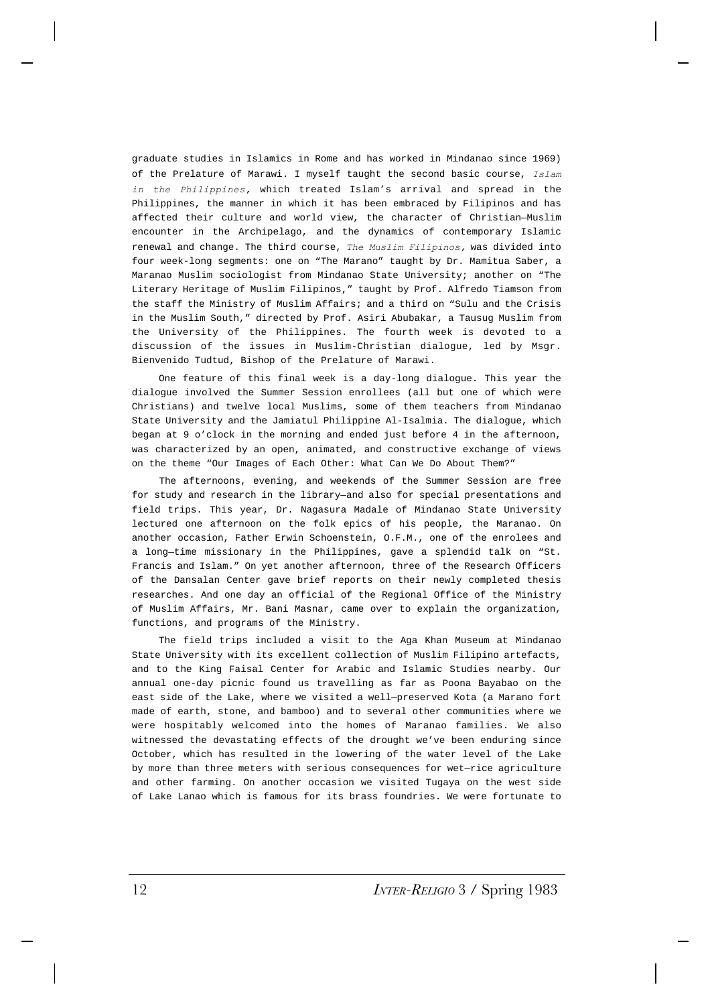graduate studies in Islamics in Rome and has worked in Mindanao since 1969) of the Prelature of Marawi. I myself taught the second basic course, *Islam in the Philippines,* which treated Islam's arrival and spread in the Philippines, the manner in which it has been embraced by Filipinos and has affected their culture and world view, the character of Christian—Muslim encounter in the Archipelago, and the dynamics of contemporary Islamic renewal and change. The third course, *The Muslim Filipinos,* was divided into four week-long segments: one on "The Marano" taught by Dr. Mamitua Saber, a Maranao Muslim sociologist from Mindanao State University; another on "The Literary Heritage of Muslim Filipinos," taught by Prof. Alfredo Tiamson from the staff the Ministry of Muslim Affairs; and a third on "Sulu and the Crisis in the Muslim South," directed by Prof. Asiri Abubakar, a Tausug Muslim from the University of the Philippines. The fourth week is devoted to a discussion of the issues in Muslim-Christian dialogue, led by Msgr. Bienvenido Tudtud, Bishop of the Prelature of Marawi.

One feature of this final week is a day-long dialogue. This year the dialogue involved the Summer Session enrollees (all but one of which were Christians) and twelve local Muslims, some of them teachers from Mindanao State University and the Jamiatul Philippine Al-Isalmia. The dialogue, which began at 9 o'clock in the morning and ended just before 4 in the afternoon, was characterized by an open, animated, and constructive exchange of views on the theme "Our Images of Each Other: What Can We Do About Them?"

The afternoons, evening, and weekends of the Summer Session are free for study and research in the library—and also for special presentations and field trips. This year, Dr. Nagasura Madale of Mindanao State University lectured one afternoon on the folk epics of his people, the Maranao. On another occasion, Father Erwin Schoenstein, O.F.M., one of the enrolees and a long—time missionary in the Philippines, gave a splendid talk on "St. Francis and Islam." On yet another afternoon, three of the Research Officers of the Dansalan Center gave brief reports on their newly completed thesis researches. And one day an official of the Regional Office of the Ministry of Muslim Affairs, Mr. Bani Masnar, came over to explain the organization, functions, and programs of the Ministry.

The field trips included a visit to the Aga Khan Museum at Mindanao State University with its excellent collection of Muslim Filipino artefacts, and to the King Faisal Center for Arabic and Islamic Studies nearby. Our annual one-day picnic found us travelling as far as Poona Bayabao on the east side of the Lake, where we visited a well—preserved Kota (a Marano fort made of earth, stone, and bamboo) and to several other communities where we were hospitably welcomed into the homes of Maranao families. We also witnessed the devastating effects of the drought we've been enduring since October, which has resulted in the lowering of the water level of the Lake by more than three meters with serious consequences for wet—rice agriculture and other farming. On another occasion we visited Tugaya on the west side of Lake Lanao which is famous for its brass foundries. We were fortunate to